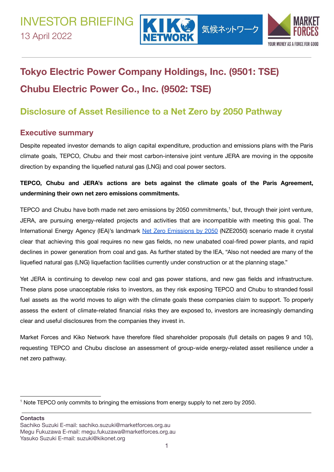



# **Tokyo Electric Power Company Holdings, Inc. (9501: TSE) Chubu Electric Power Co., Inc. (9502: TSE)**

# **Disclosure of Asset Resilience to a Net Zero by 2050 Pathway**

## **Executive summary**

Despite repeated investor demands to align capital expenditure, production and emissions plans with the Paris climate goals, TEPCO, Chubu and their most carbon-intensive joint venture JERA are moving in the opposite direction by expanding the liquefied natural gas (LNG) and coal power sectors.

**TEPCO, Chubu and JERA's actions are bets against the climate goals of the Paris Agreement, undermining their own net zero emissions commitments.**

TEPCO and Chubu have both made net zero emissions by 2050 commitments, $<sup>1</sup>$  but, through their joint venture,</sup> JERA, are pursuing energy-related projects and activities that are incompatible with meeting this goal. The International Energy Agency (IEA)'s landmark Net Zero Emissions by 2050 (NZE2050) scenario made it crystal clear that achieving this goal requires no new gas fields, no new unabated coal-fired power plants, and rapid declines in power generation from coal and gas. As further stated by the IEA, "Also not needed are many of the liquefied natural gas (LNG) liquefaction facilities currently under construction or at the planning stage."

Yet JERA is continuing to develop new coal and gas power stations, and new gas fields and infrastructure. These plans pose unacceptable risks to investors, as they risk exposing TEPCO and Chubu to stranded fossil fuel assets as the world moves to align with the climate goals these companies claim to support. To properly assess the extent of climate-related financial risks they are exposed to, investors are increasingly demanding clear and useful disclosures from the companies they invest in.

Market Forces and Kiko Network have therefore filed shareholder proposals (full details on pages 9 and 10), requesting TEPCO and Chubu disclose an assessment of group-wide energy-related asset resilience under a net zero pathway.

**Contacts**

<sup>1</sup> Note TEPCO only commits to bringing the emissions from energy supply to net zero by 2050.

Sachiko Suzuki E-mail: sachiko.suzuki@marketforces.org.au Megu Fukuzawa E-mail: megu.fukuzawa@marketforces.org.au Yasuko Suzuki E-mail: suzuki@kikonet.org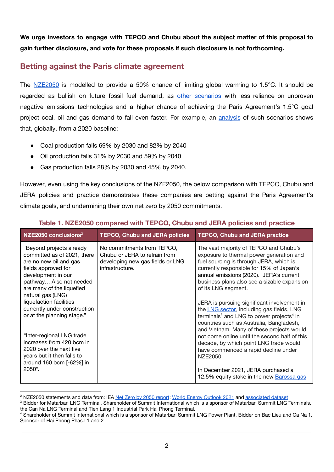**We urge investors to engage with TEPCO and Chubu about the subject matter of this proposal to gain further disclosure, and vote for these proposals if such disclosure is not forthcoming.**

## **Betting against the Paris climate agreement**

The NZE2050 is modelled to provide a 50% chance of limiting global warming to 1.5°C. It should be regarded as bullish on future fossil fuel demand, as other scenarios with less reliance on unproven negative emissions technologies and a higher chance of achieving the Paris Agreement's 1.5°C goal project coal, oil and gas demand to fall even faster. For example, an analysis of such scenarios shows that, globally, from a 2020 baseline:

- Coal production falls 69% by 2030 and 82% by 2040
- Oil production falls 31% by 2030 and 59% by 2040
- Gas production falls 28% by 2030 and 45% by 2040.

However, even using the key conclusions of the NZE2050, the below comparison with TEPCO, Chubu and JERA policies and practice demonstrates these companies are betting against the Paris Agreement's climate goals, and undermining their own net zero by 2050 commitments.

| $NZE2050$ conclusions <sup>2</sup>                                                                                                                                                                                                                                                                   | <b>TEPCO, Chubu and JERA policies</b>                                                                              | <b>TEPCO, Chubu and JERA practice</b>                                                                                                                                                                                                                                                                                                                                                                                                                                                                  |
|------------------------------------------------------------------------------------------------------------------------------------------------------------------------------------------------------------------------------------------------------------------------------------------------------|--------------------------------------------------------------------------------------------------------------------|--------------------------------------------------------------------------------------------------------------------------------------------------------------------------------------------------------------------------------------------------------------------------------------------------------------------------------------------------------------------------------------------------------------------------------------------------------------------------------------------------------|
| "Beyond projects already<br>committed as of 2021, there<br>are no new oil and gas<br>fields approved for<br>development in our<br>pathway Also not needed<br>are many of the liquefied<br>natural gas (LNG)<br>liquefaction facilities<br>currently under construction<br>or at the planning stage." | No commitments from TEPCO,<br>Chubu or JERA to refrain from<br>developing new gas fields or LNG<br>infrastructure. | The vast majority of TEPCO and Chubu's<br>exposure to thermal power generation and<br>fuel sourcing is through JERA, which is<br>currently responsible for 15% of Japan's<br>annual emissions (2020). JERA's current<br>business plans also see a sizable expansion<br>of its LNG segment.<br>JERA is pursuing significant involvement in<br>the LNG sector, including gas fields, LNG<br>terminals <sup>3</sup> and LNG to power projects <sup>4</sup> in<br>countries such as Australia, Bangladesh, |
| "Inter-regional LNG trade<br>increases from 420 bcm in<br>2020 over the next five<br>years but it then falls to<br>around 160 bcm [-62%] in<br>2050".                                                                                                                                                |                                                                                                                    | and Vietnam. Many of these projects would<br>not come online until the second half of this<br>decade, by which point LNG trade would<br>have commenced a rapid decline under<br>NZE2050.<br>In December 2021, JERA purchased a                                                                                                                                                                                                                                                                         |
|                                                                                                                                                                                                                                                                                                      |                                                                                                                    | 12.5% equity stake in the new Barossa gas                                                                                                                                                                                                                                                                                                                                                                                                                                                              |

#### **Table 1. NZE2050 compared with TEPCO, Chubu and JERA policies and practice**

<sup>&</sup>lt;sup>2</sup> NZE2050 statements and data from: IEA Net Zero by 2050 report; World Energy Outlook 2021 and associated dataset

<sup>&</sup>lt;sup>3</sup> Bidder for Matarbari LNG Terminal. Shareholder of Summit International which is a sponsor of Matarbari Summit LNG Terminals, the Can Na LNG Terminal and Tien Lang 1 Industrial Park Hai Phong Terminal.

<sup>4</sup> Shareholder of Summit International which is a sponsor of Matarbari Summit LNG Power Plant, Bidder on Bac Lieu and Ca Na 1, Sponsor of Hai Phong Phase 1 and 2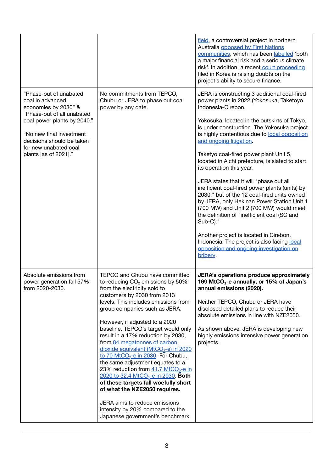|                                                                                                                                                                                                                                            |                                                                                                                                                                                                                                                                                                                                                                                                                                                                                                                                                                                                                                                                                                                                                                                                                  | field, a controversial project in northern<br>Australia opposed by First Nations<br>communities, which has been labelled 'both<br>a major financial risk and a serious climate<br>risk'. In addition, a recent court proceeding<br>filed in Korea is raising doubts on the<br>project's ability to secure finance.                                                                                                                                                                                                                                                                                                                                                                                                                                                                                                                                                        |
|--------------------------------------------------------------------------------------------------------------------------------------------------------------------------------------------------------------------------------------------|------------------------------------------------------------------------------------------------------------------------------------------------------------------------------------------------------------------------------------------------------------------------------------------------------------------------------------------------------------------------------------------------------------------------------------------------------------------------------------------------------------------------------------------------------------------------------------------------------------------------------------------------------------------------------------------------------------------------------------------------------------------------------------------------------------------|---------------------------------------------------------------------------------------------------------------------------------------------------------------------------------------------------------------------------------------------------------------------------------------------------------------------------------------------------------------------------------------------------------------------------------------------------------------------------------------------------------------------------------------------------------------------------------------------------------------------------------------------------------------------------------------------------------------------------------------------------------------------------------------------------------------------------------------------------------------------------|
| "Phase-out of unabated<br>coal in advanced<br>economies by 2030" &<br>"Phase-out of all unabated<br>coal power plants by 2040."<br>"No new final investment<br>decisions should be taken<br>for new unabated coal<br>plants [as of 2021]." | No commitments from TEPCO,<br>Chubu or JERA to phase out coal<br>power by any date.                                                                                                                                                                                                                                                                                                                                                                                                                                                                                                                                                                                                                                                                                                                              | JERA is constructing 3 additional coal-fired<br>power plants in 2022 (Yokosuka, Taketoyo,<br>Indonesia-Cirebon.<br>Yokosuka, located in the outskirts of Tokyo,<br>is under construction. The Yokosuka project<br>is highly contentious due to local opposition<br>and ongoing litigation.<br>Taketyo coal-fired power plant Unit 5,<br>located in Aichi prefecture, is slated to start<br>its operation this year.<br>JERA states that it will "phase out all<br>inefficient coal-fired power plants (units) by<br>2030," but of the 12 coal-fired units owned<br>by JERA, only Hekinan Power Station Unit 1<br>(700 MW) and Unit 2 (700 MW) would meet<br>the definition of "inefficient coal (SC and<br>Sub-C)."<br>Another project is located in Cirebon,<br>Indonesia. The project is also facing local<br>opposition and ongoing investigation on<br><b>bribery</b> |
| Absolute emissions from<br>power generation fall 57%<br>from 2020-2030.                                                                                                                                                                    | <b>TEPCO and Chubu have committed</b><br>to reducing CO <sub>2</sub> emissions by 50%<br>from the electricity sold to<br>customers by 2030 from 2013<br>levels. This includes emissions from<br>group companies such as JERA.<br>However, if adjusted to a 2020<br>baseline, TEPCO's target would only<br>result in a 17% reduction by 2030,<br>from 84 megatonnes of carbon<br>dioxide equivalent (MtCO <sub>2</sub> -e) in 2020<br>to 70 MtCO <sub>2</sub> -e in 2030. For Chubu,<br>the same adjustment equates to a<br>23% reduction from $41.7$ MtCO <sub>2</sub> -e in<br>2020 to 32.4 MtCO <sub>2</sub> -e in 2030. Both<br>of these targets fall woefully short<br>of what the NZE2050 requires.<br>JERA aims to reduce emissions<br>intensity by 20% compared to the<br>Japanese government's benchmark | JERA's operations produce approximately<br>169 MtCO <sub>2</sub> -e annually, or 15% of Japan's<br>annual emissions (2020).<br>Neither TEPCO, Chubu or JERA have<br>disclosed detailed plans to reduce their<br>absolute emissions in line with NZE2050.<br>As shown above, JERA is developing new<br>highly emissions intensive power generation<br>projects.                                                                                                                                                                                                                                                                                                                                                                                                                                                                                                            |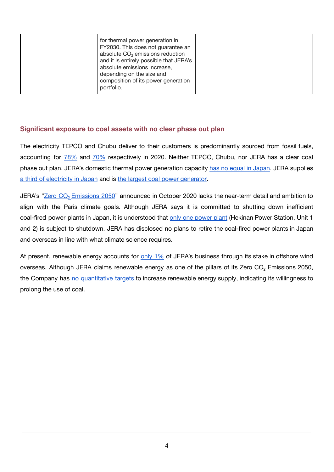| for thermal power generation in<br>FY2030. This does not guarantee an<br>absolute CO <sub>2</sub> emissions reduction<br>and it is entirely possible that JERA's<br>absolute emissions increase,<br>depending on the size and<br>composition of its power generation<br>portfolio. |  |
|------------------------------------------------------------------------------------------------------------------------------------------------------------------------------------------------------------------------------------------------------------------------------------|--|
|------------------------------------------------------------------------------------------------------------------------------------------------------------------------------------------------------------------------------------------------------------------------------------|--|

#### **Significant exposure to coal assets with no clear phase out plan**

The electricity TEPCO and Chubu deliver to their customers is predominantly sourced from fossil fuels, accounting for 78% and 70% respectively in 2020. Neither TEPCO, Chubu, nor JERA has a clear coal phase out plan. JERA's domestic thermal power generation capacity has no equal in Japan. JERA supplies a third of electricity in Japan and is the largest coal power generator.

JERA's "Zero CO<sub>2</sub> Emissions 2050" announced in October 2020 lacks the near-term detail and ambition to align with the Paris climate goals. Although JERA says it is committed to shutting down inefficient coal-fired power plants in Japan, it is understood that only one power plant (Hekinan Power Station, Unit 1 and 2) is subject to shutdown. JERA has disclosed no plans to retire the coal-fired power plants in Japan and overseas in line with what climate science requires.

At present, renewable energy accounts for only 1% of JERA's business through its stake in offshore wind overseas. Although JERA claims renewable energy as one of the pillars of its Zero  $CO<sub>2</sub>$  Emissions 2050, the Company has no quantitative targets to increase renewable energy supply, indicating its willingness to prolong the use of coal.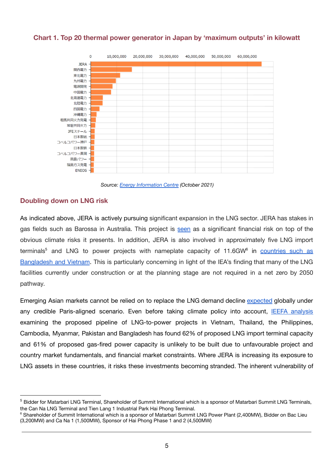

#### **Chart 1. Top 20 thermal power generator in Japan by 'maximum outputs' in kilowatt**

*Source: Energy Information Centre (October 2021)*

#### **Doubling down on LNG risk**

As indicated above, JERA is actively pursuing significant expansion in the LNG sector. JERA has stakes in gas fields such as Barossa in Australia. This project is seen as a significant financial risk on top of the obvious climate risks it presents. In addition, JERA is also involved in approximately five LNG import terminals<sup>5</sup> and LNG to power projects with nameplate capacity of 11.6GW<sup>6</sup> in countries such as Bangladesh and Vietnam. This is particularly concerning in light of the IEA's finding that many of the LNG facilities currently under construction or at the planning stage are not required in a net zero by 2050 pathway.

Emerging Asian markets cannot be relied on to replace the LNG demand decline expected globally under any credible Paris-aligned scenario. Even before taking climate policy into account, IEEFA analysis examining the proposed pipeline of LNG-to-power projects in Vietnam, Thailand, the Philippines, Cambodia, Myanmar, Pakistan and Bangladesh has found 62% of proposed LNG import terminal capacity and 61% of proposed gas-fired power capacity is unlikely to be built due to unfavourable project and country market fundamentals, and financial market constraints. Where JERA is increasing its exposure to LNG assets in these countries, it risks these investments becoming stranded. The inherent vulnerability of

<sup>&</sup>lt;sup>5</sup> Bidder for Matarbari LNG Terminal, Shareholder of Summit International which is a sponsor of Matarbari Summit LNG Terminals, the Can Na LNG Terminal and Tien Lang 1 Industrial Park Hai Phong Terminal.

<sup>&</sup>lt;sup>6</sup> Shareholder of Summit International which is a sponsor of Matarbari Summit LNG Power Plant (2.400MW), Bidder on Bac Lieu (3,200MW) and Ca Na 1 (1,500MW), Sponsor of Hai Phong Phase 1 and 2 (4,500MW)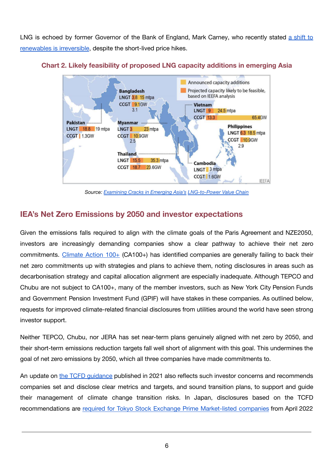LNG is echoed by former Governor of the Bank of England, Mark Carney, who recently stated a shift to renewables is irreversible, despite the short-lived price hikes.



#### **Chart 2. Likely feasibility of proposed LNG capacity additions in emerging Asia**

*Source: Examining Cracks in Emerging Asia's LNG-to-Power Value Chain*

## **IEA's Net Zero Emissions by 2050 and investor expectations**

Given the emissions falls required to align with the climate goals of the Paris Agreement and NZE2050, investors are increasingly demanding companies show a clear pathway to achieve their net zero commitments. Climate Action 100+ (CA100+) has identified companies are generally failing to back their net zero commitments up with strategies and plans to achieve them, noting disclosures in areas such as decarbonisation strategy and capital allocation alignment are especially inadequate. Although TEPCO and Chubu are not subject to CA100+, many of the member investors, such as New York City Pension Funds and Government Pension Investment Fund (GPIF) will have stakes in these companies. As outlined below, requests for improved climate-related financial disclosures from utilities around the world have seen strong investor support.

Neither TEPCO, Chubu, nor JERA has set near-term plans genuinely aligned with net zero by 2050, and their short-term emissions reduction targets fall well short of alignment with this goal. This undermines the goal of net zero emissions by 2050, which all three companies have made commitments to.

An update on the TCFD guidance published in 2021 also reflects such investor concerns and recommends companies set and disclose clear metrics and targets, and sound transition plans, to support and guide their management of climate change transition risks. In Japan, disclosures based on the TCFD recommendations are required for Tokyo Stock Exchange Prime Market-listed companies from April 2022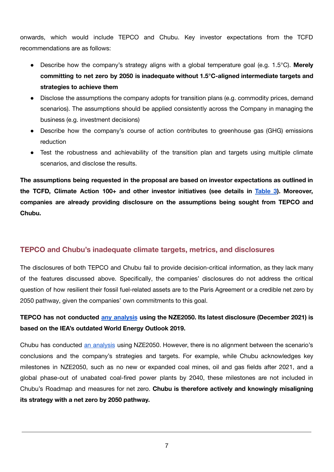onwards, which would include TEPCO and Chubu. Key investor expectations from the TCFD recommendations are as follows:

- Describe how the company's strategy aligns with a global temperature goal (e.g. 1.5°C). **Merely committing to net zero by 2050 is inadequate without 1.5°C-aligned intermediate targets and strategies to achieve them**
- Disclose the assumptions the company adopts for transition plans (e.g. commodity prices, demand scenarios). The assumptions should be applied consistently across the Company in managing the business (e.g. investment decisions)
- Describe how the company's course of action contributes to greenhouse gas (GHG) emissions reduction
- Test the robustness and achievability of the transition plan and targets using multiple climate scenarios, and disclose the results.

**The assumptions being requested in the proposal are based on investor expectations as outlined in the TCFD, Climate Action 100+ and other investor initiatives (see details in [Table](#page-11-0) 3). Moreover, companies are already providing disclosure on the assumptions being sought from TEPCO and Chubu.**

#### **TEPCO and Chubu's inadequate climate targets, metrics, and disclosures**

The disclosures of both TEPCO and Chubu fail to provide decision-critical information, as they lack many of the features discussed above. Specifically, the companies' disclosures do not address the critical question of how resilient their fossil fuel-related assets are to the Paris Agreement or a credible net zero by 2050 pathway, given the companies' own commitments to this goal.

## **TEPCO has not conducted any analysis using the NZE2050. Its latest disclosure (December 2021) is based on the IEA's outdated World Energy Outlook 2019.**

Chubu has conducted an analysis using NZE2050. However, there is no alignment between the scenario's conclusions and the company's strategies and targets. For example, while Chubu acknowledges key milestones in NZE2050, such as no new or expanded coal mines, oil and gas fields after 2021, and a global phase-out of unabated coal-fired power plants by 2040, these milestones are not included in Chubu's Roadmap and measures for net zero. **Chubu is therefore actively and knowingly misaligning its strategy with a net zero by 2050 pathway.**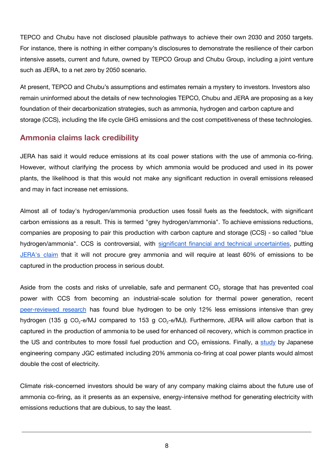TEPCO and Chubu have not disclosed plausible pathways to achieve their own 2030 and 2050 targets. For instance, there is nothing in either company's disclosures to demonstrate the resilience of their carbon intensive assets, current and future, owned by TEPCO Group and Chubu Group, including a joint venture such as JERA, to a net zero by 2050 scenario.

At present, TEPCO and Chubu's assumptions and estimates remain a mystery to investors. Investors also remain uninformed about the details of new technologies TEPCO, Chubu and JERA are proposing as a key foundation of their decarbonization strategies, such as ammonia, hydrogen and carbon capture and storage (CCS), including the life cycle GHG emissions and the cost competitiveness of these technologies.

#### **Ammonia claims lack credibility**

JERA has said it would reduce emissions at its coal power stations with the use of ammonia co-firing. However, without clarifying the process by which ammonia would be produced and used in its power plants, the likelihood is that this would not make any significant reduction in overall emissions released and may in fact increase net emissions.

Almost all of today's hydrogen/ammonia production uses fossil fuels as the feedstock, with significant carbon emissions as a result. This is termed "grey hydrogen/ammonia". To achieve emissions reductions, companies are proposing to pair this production with carbon capture and storage (CCS) - so called "blue hydrogen/ammonia". CCS is controversial, with significant financial and technical uncertainties, putting JERA's claim that it will not procure grey ammonia and will require at least 60% of emissions to be captured in the production process in serious doubt.

Aside from the costs and risks of unreliable, safe and permanent CO<sub>2</sub> storage that has prevented coal power with CCS from becoming an industrial-scale solution for thermal power generation, recent peer-reviewed research has found blue hydrogen to be only 12% less emissions intensive than grey hydrogen (135 g CO<sub>2</sub>-e/MJ compared to 153 g CO<sub>2</sub>-e/MJ). Furthermore, JERA will allow carbon that is captured in the production of ammonia to be used for enhanced oil recovery, which is common practice in the US and contributes to more fossil fuel production and  $CO<sub>2</sub>$  emissions. Finally, a study by Japanese engineering company JGC estimated including 20% ammonia co-firing at coal power plants would almost double the cost of electricity.

Climate risk-concerned investors should be wary of any company making claims about the future use of ammonia co-firing, as it presents as an expensive, energy-intensive method for generating electricity with emissions reductions that are dubious, to say the least.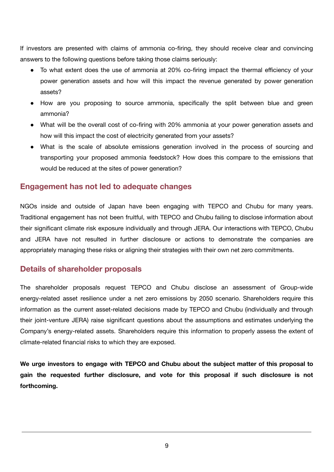If investors are presented with claims of ammonia co-firing, they should receive clear and convincing answers to the following questions before taking those claims seriously:

- To what extent does the use of ammonia at 20% co-firing impact the thermal efficiency of your power generation assets and how will this impact the revenue generated by power generation assets?
- How are you proposing to source ammonia, specifically the split between blue and green ammonia?
- What will be the overall cost of co-firing with 20% ammonia at your power generation assets and how will this impact the cost of electricity generated from your assets?
- What is the scale of absolute emissions generation involved in the process of sourcing and transporting your proposed ammonia feedstock? How does this compare to the emissions that would be reduced at the sites of power generation?

#### **Engagement has not led to adequate changes**

NGOs inside and outside of Japan have been engaging with TEPCO and Chubu for many years. Traditional engagement has not been fruitful, with TEPCO and Chubu failing to disclose information about their significant climate risk exposure individually and through JERA. Our interactions with TEPCO, Chubu and JERA have not resulted in further disclosure or actions to demonstrate the companies are appropriately managing these risks or aligning their strategies with their own net zero commitments.

#### **Details of shareholder proposals**

The shareholder proposals request TEPCO and Chubu disclose an assessment of Group-wide energy-related asset resilience under a net zero emissions by 2050 scenario. Shareholders require this information as the current asset-related decisions made by TEPCO and Chubu (individually and through their joint-venture JERA) raise significant questions about the assumptions and estimates underlying the Company's energy-related assets. Shareholders require this information to properly assess the extent of climate-related financial risks to which they are exposed.

**We urge investors to engage with TEPCO and Chubu about the subject matter of this proposal to gain the requested further disclosure, and vote for this proposal if such disclosure is not forthcoming.**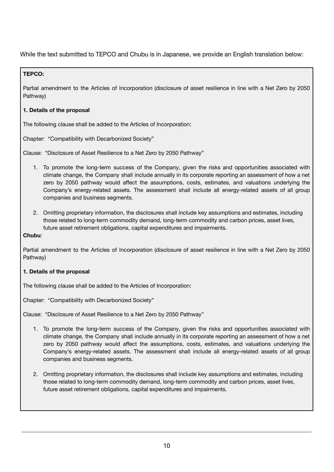While the text submitted to TEPCO and Chubu is in Japanese, we provide an English translation below:

#### **TEPCO:**

Partial amendment to the Articles of Incorporation (disclosure of asset resilience in line with a Net Zero by 2050 Pathway)

#### **1. Details of the proposal**

The following clause shall be added to the Articles of Incorporation:

Chapter: "Compatibility with Decarbonized Society"

Clause: "Disclosure of Asset Resilience to a Net Zero by 2050 Pathway"

- 1. To promote the long-term success of the Company, given the risks and opportunities associated with climate change, the Company shall include annually in its corporate reporting an assessment of how a net zero by 2050 pathway would affect the assumptions, costs, estimates, and valuations underlying the Company's energy-related assets. The assessment shall include all energy-related assets of all group companies and business segments.
- 2. Omitting proprietary information, the disclosures shall include key assumptions and estimates, including those related to long-term commodity demand, long-term commodity and carbon prices, asset lives, future asset retirement obligations, capital expenditures and impairments.

#### **Chubu**:

Partial amendment to the Articles of Incorporation (disclosure of asset resilience in line with a Net Zero by 2050 Pathway)

#### **1. Details of the proposal**

The following clause shall be added to the Articles of Incorporation:

Chapter: "Compatibility with Decarbonized Society"

Clause: "Disclosure of Asset Resilience to a Net Zero by 2050 Pathway"

- 1. To promote the long-term success of the Company, given the risks and opportunities associated with climate change, the Company shall include annually in its corporate reporting an assessment of how a net zero by 2050 pathway would affect the assumptions, costs, estimates, and valuations underlying the Company's energy-related assets. The assessment shall include all energy-related assets of all group companies and business segments.
- 2. Omitting proprietary information, the disclosures shall include key assumptions and estimates, including those related to long-term commodity demand, long-term commodity and carbon prices, asset lives, future asset retirement obligations, capital expenditures and impairments.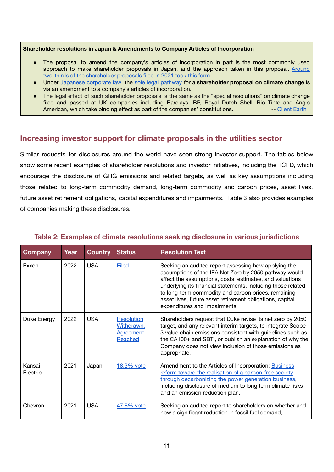#### **Shareholder resolutions in Japan & Amendments to Company Articles of Incorporation**

- The proposal to amend the company's articles of incorporation in part is the most commonly used approach to make shareholder proposals in Japan, and the approach taken in this proposal. Around two-thirds of the shareholder proposals filed in 2021 took this form.
- Under Japanese corporate law, the sole legal pathway for a **shareholder proposal on climate change** is via an amendment to a company's articles of incorporation.
- The legal effect of such shareholder proposals is the same as the "special resolutions" on climate change filed and passed at UK companies including Barclays, BP, Royal Dutch Shell, Rio Tinto and Anglo American, which take binding effect as part of the companies' constitutions. -- Client Earth

## **Increasing investor support for climate proposals in the utilities sector**

Similar requests for disclosures around the world have seen strong investor support. The tables below show some recent examples of shareholder resolutions and investor initiatives, including the TCFD, which encourage the disclosure of GHG emissions and related targets, as well as key assumptions including those related to long-term commodity demand, long-term commodity and carbon prices, asset lives, future asset retirement obligations, capital expenditures and impairments. Table 3 also provides examples of companies making these disclosures.

| <b>Company</b>     | Year | <b>Country</b> | <b>Status</b>                                                  | <b>Resolution Text</b>                                                                                                                                                                                                                                                                                                                                                                         |
|--------------------|------|----------------|----------------------------------------------------------------|------------------------------------------------------------------------------------------------------------------------------------------------------------------------------------------------------------------------------------------------------------------------------------------------------------------------------------------------------------------------------------------------|
| Exxon              | 2022 | <b>USA</b>     | <b>Filed</b>                                                   | Seeking an audited report assessing how applying the<br>assumptions of the IEA Net Zero by 2050 pathway would<br>affect the assumptions, costs, estimates, and valuations<br>underlying its financial statements, including those related<br>to long-term commodity and carbon prices, remaining<br>asset lives, future asset retirement obligations, capital<br>expenditures and impairments. |
| Duke Energy        | 2022 | <b>USA</b>     | <b>Resolution</b><br>Withdrawn.<br><b>Agreement</b><br>Reached | Shareholders request that Duke revise its net zero by 2050<br>target, and any relevant interim targets, to integrate Scope<br>3 value chain emissions consistent with guidelines such as<br>the CA100+ and SBTi, or publish an explanation of why the<br>Company does not view inclusion of those emissions as<br>appropriate.                                                                 |
| Kansai<br>Electric | 2021 | Japan          | 18.3% vote                                                     | Amendment to the Articles of Incorporation: Business<br>reform toward the realisation of a carbon-free society<br>through decarbonizing the power generation business,<br>including disclosure of medium to long term climate risks<br>and an emission reduction plan.                                                                                                                         |
| Chevron            | 2021 | <b>USA</b>     | 47.8% vote                                                     | Seeking an audited report to shareholders on whether and<br>how a significant reduction in fossil fuel demand,                                                                                                                                                                                                                                                                                 |

#### **Table 2: Examples of climate resolutions seeking disclosure in various jurisdictions**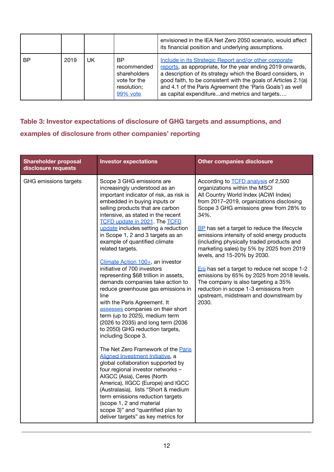|           |      |    |                                                                               | envisioned in the IEA Net Zero 2050 scenario, would affect<br>its financial position and underlying assumptions.                                                                                                                                                                                                                                                     |
|-----------|------|----|-------------------------------------------------------------------------------|----------------------------------------------------------------------------------------------------------------------------------------------------------------------------------------------------------------------------------------------------------------------------------------------------------------------------------------------------------------------|
| <b>BP</b> | 2019 | UK | BP.<br>recommended<br>shareholders<br>vote for the<br>resolution;<br>99% vote | Include in its Strategic Report and/or other corporate<br>reports, as appropriate, for the year ending 2019 onwards,<br>a description of its strategy which the Board considers, in<br>good faith, to be consistent with the goals of Articles 2.1(a)<br>and 4.1 of the Paris Agreement (the 'Paris Goals') as well<br>as capital expenditureand metrics and targets |

# <span id="page-11-0"></span>**Table 3: Investor expectations of disclosure of GHG targets and assumptions, and examples of disclosure from other companies' reporting**

| <b>Shareholder proposal</b><br>disclosure requests | <b>Investor expectations</b>                                                                                                                                                                                                                                                                                                                                                                                                                                                                                                                                                                                                                                                                                                                                                                                                                                                                                                                                                                                                                                                                                                                                                                             | <b>Other companies disclosure</b>                                                                                                                                                                                                                                                                                                                                                                                                                                                                                                                                                                                                                                       |
|----------------------------------------------------|----------------------------------------------------------------------------------------------------------------------------------------------------------------------------------------------------------------------------------------------------------------------------------------------------------------------------------------------------------------------------------------------------------------------------------------------------------------------------------------------------------------------------------------------------------------------------------------------------------------------------------------------------------------------------------------------------------------------------------------------------------------------------------------------------------------------------------------------------------------------------------------------------------------------------------------------------------------------------------------------------------------------------------------------------------------------------------------------------------------------------------------------------------------------------------------------------------|-------------------------------------------------------------------------------------------------------------------------------------------------------------------------------------------------------------------------------------------------------------------------------------------------------------------------------------------------------------------------------------------------------------------------------------------------------------------------------------------------------------------------------------------------------------------------------------------------------------------------------------------------------------------------|
| GHG emissions targets                              | Scope 3 GHG emissions are<br>increasingly understood as an<br>important indicator of risk, as risk is<br>embedded in buying inputs or<br>selling products that are carbon<br>intensive, as stated in the recent<br><b>TCFD update in 2021. The TCFD</b><br>update includes setting a reduction<br>in Scope 1, 2 and 3 targets as an<br>example of quantified climate<br>related targets.<br>Climate Action 100+, an investor<br>initiative of 700 investors<br>representing \$68 trillion in assets,<br>demands companies take action to<br>reduce greenhouse gas emissions in<br>line<br>with the Paris Agreement. It<br>assesses companies on their short<br>term (up to 2025), medium term<br>(2026 to 2035) and long term (2036<br>to 2050) GHG reduction targets,<br>including Scope 3.<br>The Net Zero Framework of the Paris<br>Alianed Investment Initiative, a<br>global collaboration supported by<br>four regional investor networks -<br>AIGCC (Asia), Ceres (North<br>America), IIGCC (Europe) and IGCC<br>(Australasia), lists "Short & medium<br>term emissions reduction targets<br>(scope 1, 2 and material<br>scope 3)" and "quantified plan to<br>deliver targets" as key metrics for | According to <b>TCFD</b> analysis of 2,500<br>organizations within the MSCI<br>All Country World Index (ACWI Index)<br>from 2017-2019, organizations disclosing<br>Scope 3 GHG emissions grew from 28% to<br>34%.<br>BP has set a target to reduce the lifecycle<br>emissions intensity of sold energy products<br>(including physically traded products and<br>marketing sales) by 5% by 2025 from 2019<br>levels, and 15-20% by 2030.<br>Eni has set a target to reduce net scope 1-2<br>emissions by 65% by 2025 from 2018 levels.<br>The company is also targeting a 35%<br>reduction in scope 1-3 emissions from<br>upstream, midstream and downstream by<br>2030. |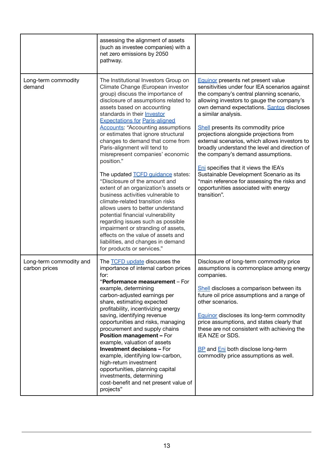|                                          | assessing the alignment of assets<br>(such as investee companies) with a<br>net zero emissions by 2050<br>pathway.                                                                                                                                                                                                                                                                                                                                                                                                                                                                                                                                                                                                                                                                                                                                                                                                                        |                                                                                                                                                                                                                                                                                                                                                                                                                                                                                                                                                                                                                                                                            |
|------------------------------------------|-------------------------------------------------------------------------------------------------------------------------------------------------------------------------------------------------------------------------------------------------------------------------------------------------------------------------------------------------------------------------------------------------------------------------------------------------------------------------------------------------------------------------------------------------------------------------------------------------------------------------------------------------------------------------------------------------------------------------------------------------------------------------------------------------------------------------------------------------------------------------------------------------------------------------------------------|----------------------------------------------------------------------------------------------------------------------------------------------------------------------------------------------------------------------------------------------------------------------------------------------------------------------------------------------------------------------------------------------------------------------------------------------------------------------------------------------------------------------------------------------------------------------------------------------------------------------------------------------------------------------------|
| Long-term commodity<br>demand            | The Institutional Investors Group on<br>Climate Change (European investor<br>group) discuss the importance of<br>disclosure of assumptions related to<br>assets based on accounting<br>standards in their <b>Investor</b><br><b>Expectations for Paris-aligned</b><br><b>Accounts: "Accounting assumptions</b><br>or estimates that ignore structural<br>changes to demand that come from<br>Paris-alignment will tend to<br>misrepresent companies' economic<br>position."<br>The updated <b>TCFD</b> guidance states:<br>"Disclosure of the amount and<br>extent of an organization's assets or<br>business activities vulnerable to<br>climate-related transition risks<br>allows users to better understand<br>potential financial vulnerability<br>regarding issues such as possible<br>impairment or stranding of assets,<br>effects on the value of assets and<br>liabilities, and changes in demand<br>for products or services." | <b>Equinor</b> presents net present value<br>sensitivities under four IEA scenarios against<br>the company's central planning scenario,<br>allowing investors to gauge the company's<br>own demand expectations. Santos discloses<br>a similar analysis.<br>Shell presents its commodity price<br>projections alongside projections from<br>external scenarios, which allows investors to<br>broadly understand the level and direction of<br>the company's demand assumptions.<br>Eni specifies that it views the IEA's<br>Sustainable Development Scenario as its<br>"main reference for assessing the risks and<br>opportunities associated with energy<br>transition". |
| Long-term commodity and<br>carbon prices | The <b>TCFD</b> update discusses the<br>importance of internal carbon prices<br>for:<br>"Performance measurement - For<br>example, determining<br>carbon-adjusted earnings per<br>share, estimating expected<br>profitability, incentivizing energy<br>saving, identifying revenue<br>opportunities and risks, managing<br>procurement and supply chains<br><b>Position management - For</b><br>example, valuation of assets<br><b>Investment decisions - For</b><br>example, identifying low-carbon,<br>high-return investment<br>opportunities, planning capital<br>investments, determining<br>cost-benefit and net present value of<br>projects"                                                                                                                                                                                                                                                                                      | Disclosure of long-term commodity price<br>assumptions is commonplace among energy<br>companies.<br>Shell discloses a comparison between its<br>future oil price assumptions and a range of<br>other scenarios.<br><b>Equinor discloses its long-term commodity</b><br>price assumptions, and states clearly that<br>these are not consistent with achieving the<br>IEA NZE or SDS.<br><b>BP</b> and <b>Eni</b> both disclose long-term<br>commodity price assumptions as well.                                                                                                                                                                                            |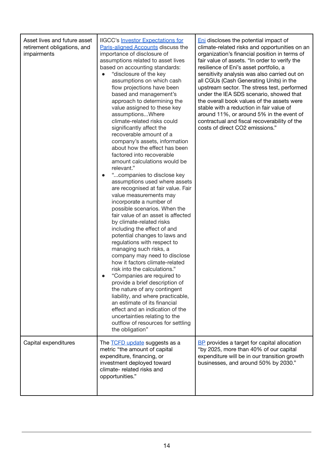| Asset lives and future asset<br>retirement obligations, and<br>impairments | <b>IIGCC's Investor Expectations for</b><br>Paris-aligned Accounts discuss the<br>importance of disclosure of<br>assumptions related to asset lives<br>based on accounting standards:<br>"disclosure of the key<br>assumptions on which cash<br>flow projections have been<br>based and management's<br>approach to determining the<br>value assigned to these key<br>assumptionsWhere<br>climate-related risks could<br>significantly affect the<br>recoverable amount of a<br>company's assets, information<br>about how the effect has been<br>factored into recoverable<br>amount calculations would be<br>relevant."<br>"companies to disclose key<br>assumptions used where assets<br>are recognised at fair value. Fair<br>value measurements may<br>incorporate a number of<br>possible scenarios. When the<br>fair value of an asset is affected<br>by climate-related risks<br>including the effect of and<br>potential changes to laws and<br>regulations with respect to<br>managing such risks, a<br>company may need to disclose<br>how it factors climate-related<br>risk into the calculations."<br>"Companies are required to<br>provide a brief description of<br>the nature of any contingent<br>liability, and where practicable,<br>an estimate of its financial<br>effect and an indication of the<br>uncertainties relating to the<br>outflow of resources for settling<br>the obligation" | <b>Eni</b> discloses the potential impact of<br>climate-related risks and opportunities on an<br>organization's financial position in terms of<br>fair value of assets. "In order to verify the<br>resilience of Eni's asset portfolio, a<br>sensitivity analysis was also carried out on<br>all CGUs (Cash Generating Units) in the<br>upstream sector. The stress test, performed<br>under the IEA SDS scenario, showed that<br>the overall book values of the assets were<br>stable with a reduction in fair value of<br>around 11%, or around 5% in the event of<br>contractual and fiscal recoverability of the<br>costs of direct CO2 emissions." |
|----------------------------------------------------------------------------|-------------------------------------------------------------------------------------------------------------------------------------------------------------------------------------------------------------------------------------------------------------------------------------------------------------------------------------------------------------------------------------------------------------------------------------------------------------------------------------------------------------------------------------------------------------------------------------------------------------------------------------------------------------------------------------------------------------------------------------------------------------------------------------------------------------------------------------------------------------------------------------------------------------------------------------------------------------------------------------------------------------------------------------------------------------------------------------------------------------------------------------------------------------------------------------------------------------------------------------------------------------------------------------------------------------------------------------------------------------------------------------------------------------------|---------------------------------------------------------------------------------------------------------------------------------------------------------------------------------------------------------------------------------------------------------------------------------------------------------------------------------------------------------------------------------------------------------------------------------------------------------------------------------------------------------------------------------------------------------------------------------------------------------------------------------------------------------|
| Capital expenditures                                                       | The <b>TCFD</b> update suggests as a<br>metric "the amount of capital<br>expenditure, financing, or<br>investment deployed toward<br>climate- related risks and<br>opportunities."                                                                                                                                                                                                                                                                                                                                                                                                                                                                                                                                                                                                                                                                                                                                                                                                                                                                                                                                                                                                                                                                                                                                                                                                                                | <b>BP</b> provides a target for capital allocation<br>"by 2025, more than 40% of our capital<br>expenditure will be in our transition growth<br>businesses, and around 50% by 2030."                                                                                                                                                                                                                                                                                                                                                                                                                                                                    |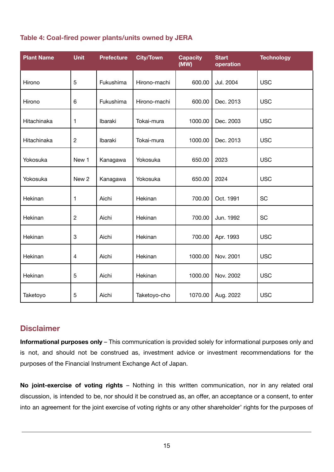| Table 4: Coal-fired power plants/units owned by JERA |  |  |
|------------------------------------------------------|--|--|
|                                                      |  |  |

| <b>Plant Name</b> | <b>Unit</b>      | <b>Prefecture</b> | <b>City/Town</b> | <b>Capacity</b><br>(MW) | <b>Start</b><br>operation | <b>Technology</b> |
|-------------------|------------------|-------------------|------------------|-------------------------|---------------------------|-------------------|
| Hirono            | 5                | Fukushima         | Hirono-machi     | 600.00                  | Jul. 2004                 | <b>USC</b>        |
| Hirono            | 6                | Fukushima         | Hirono-machi     | 600.00                  | Dec. 2013                 | <b>USC</b>        |
| Hitachinaka       | 1                | Ibaraki           | Tokai-mura       | 1000.00                 | Dec. 2003                 | <b>USC</b>        |
| Hitachinaka       | $\overline{c}$   | Ibaraki           | Tokai-mura       | 1000.00                 | Dec. 2013                 | <b>USC</b>        |
| Yokosuka          | New 1            | Kanagawa          | Yokosuka         | 650.00                  | 2023                      | <b>USC</b>        |
| Yokosuka          | New 2            | Kanagawa          | Yokosuka         | 650.00                  | 2024                      | <b>USC</b>        |
| Hekinan           | 1                | Aichi             | Hekinan          | 700.00                  | Oct. 1991                 | SC                |
| Hekinan           | $\overline{c}$   | Aichi             | Hekinan          | 700.00                  | Jun. 1992                 | <b>SC</b>         |
| Hekinan           | $\boldsymbol{3}$ | Aichi             | Hekinan          | 700.00                  | Apr. 1993                 | <b>USC</b>        |
| Hekinan           | 4                | Aichi             | Hekinan          | 1000.00                 | Nov. 2001                 | <b>USC</b>        |
| Hekinan           | 5                | Aichi             | Hekinan          | 1000.00                 | Nov. 2002                 | <b>USC</b>        |
| Taketoyo          | 5                | Aichi             | Taketoyo-cho     | 1070.00                 | Aug. 2022                 | <b>USC</b>        |

## **Disclaimer**

**Informational purposes only** – This communication is provided solely for informational purposes only and is not, and should not be construed as, investment advice or investment recommendations for the purposes of the Financial Instrument Exchange Act of Japan.

**No joint-exercise of voting rights** – Nothing in this written communication, nor in any related oral discussion, is intended to be, nor should it be construed as, an offer, an acceptance or a consent, to enter into an agreement for the joint exercise of voting rights or any other shareholder' rights for the purposes of